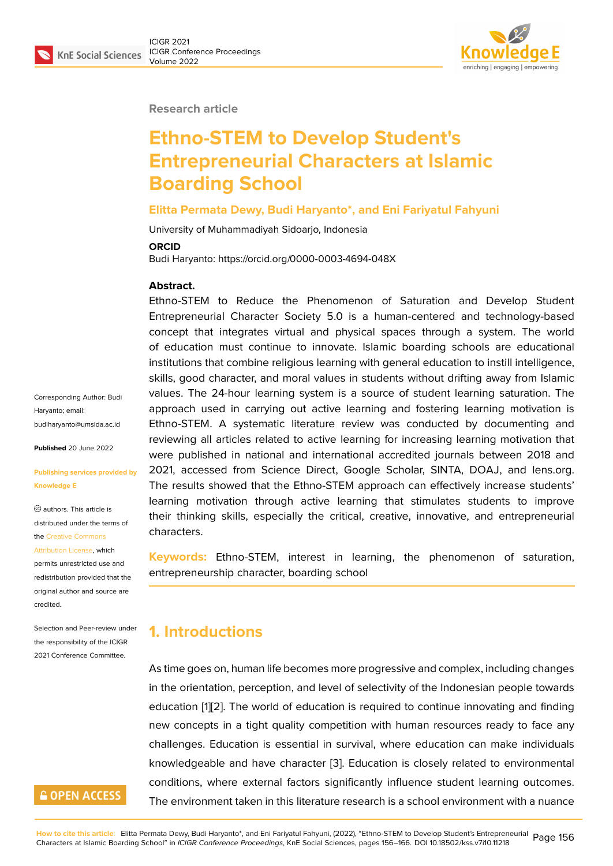

#### **Research article**

# **Ethno-STEM to Develop Student's Entrepreneurial Characters at Islamic Boarding School**

#### **Elitta Permata Dewy, Budi Haryanto\*, and Eni Fariyatul Fahyuni**

University of Muhammadiyah Sidoarjo, Indonesia

#### **ORCID**

Budi Haryanto: https://orcid.org/0000-0003-4694-048X

#### **Abstract.**

Ethno-STEM to Reduce the Phenomenon of Saturation and Develop Student Entrepreneurial Character Society 5.0 is a human-centered and technology-based concept that integrates virtual and physical spaces through a system. The world of education must continue to innovate. Islamic boarding schools are educational institutions that combine religious learning with general education to instill intelligence, skills, good character, and moral values in students without drifting away from Islamic values. The 24-hour learning system is a source of student learning saturation. The approach used in carrying out active learning and fostering learning motivation is Ethno-STEM. A systematic literature review was conducted by documenting and reviewing all articles related to active learning for increasing learning motivation that were published in national and international accredited journals between 2018 and 2021, accessed from Science Direct, Google Scholar, SINTA, DOAJ, and lens.org. The results showed that the Ethno-STEM approach can effectively increase students' learning motivation through active learning that stimulates students to improve their thinking skills, especially the critical, creative, innovative, and entrepreneurial characters.

**Keywords:** Ethno-STEM, interest in learning, the phenomenon of saturation, entrepreneurship character, boarding school

### **1. Introductions**

As time goes on, human life becomes more progressive and complex, including changes in the orientation, perception, and level of selectivity of the Indonesian people towards education [1][2]. The world of education is required to continue innovating and finding new concepts in a tight quality competition with human resources ready to face any challenges. Education is essential in survival, where education can make individuals knowledge[a](#page-7-0)[ble](#page-7-1) and have character [3]. Education is closely related to environmental conditions, where external factors significantly influence student learning outcomes. The environment taken in this literature research is a school environment with a nuance

Corresponding Author: Budi Haryanto; email: budiharyanto@umsida.ac.id

**Published** 20 June 2022

#### **[Publishing services provide](mailto:budiharyanto@umsida.ac.id)d by Knowledge E**

authors. This article is distributed under the terms of the Creative Commons

Attribution License, which

permits unrestricted use and redistribution provided that the orig[inal author and sou](https://creativecommons.org/licenses/by/4.0/)rce are [credited.](https://creativecommons.org/licenses/by/4.0/)

Selection and Peer-review under the responsibility of the ICIGR 2021 Conference Committee.

### **GOPEN ACCESS**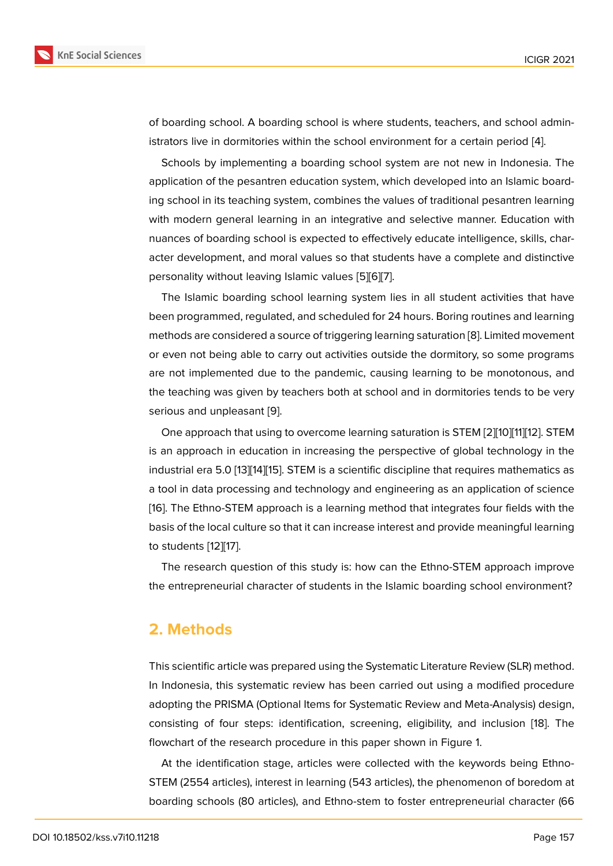of boarding school. A boarding school is where students, teachers, and school administrators live in dormitories within the school environment for a certain period [4].

Schools by implementing a boarding school system are not new in Indonesia. The application of the pesantren education system, which developed into an Islamic boarding school in its teaching system, combines the values of traditional pesantren [le](#page-7-2)arning with modern general learning in an integrative and selective manner. Education with nuances of boarding school is expected to effectively educate intelligence, skills, character development, and moral values so that students have a complete and distinctive personality without leaving Islamic values [5][6][7].

The Islamic boarding school learning system lies in all student activities that have been programmed, regulated, and scheduled for 24 hours. Boring routines and learning methods are considered a source of trigger[in](#page-7-3)[g le](#page-7-4)[a](#page-7-5)rning saturation [8]. Limited movement or even not being able to carry out activities outside the dormitory, so some programs are not implemented due to the pandemic, causing learning to be monotonous, and the teaching was given by teachers both at school and in dormit[ori](#page-7-6)es tends to be very serious and unpleasant [9].

One approach that using to overcome learning saturation is STEM [2][10][11][12]. STEM is an approach in education in increasing the perspective of global technology in the industrial era 5.0 [13][14][[15](#page-7-7)]. STEM is a scientific discipline that requires mathematics as a tool in data processing and technology and engineering as an app[lic](#page-7-1)[atio](#page-7-8)[n](#page-8-0) [of s](#page-8-1)cience [16]. The Ethno-STEM approach is a learning method that integrates four fields with the basis of the local [cul](#page-8-2)t[ure](#page-8-3) [so](#page-8-4) that it can increase interest and provide meaningful learning to students [12][17].

[T](#page-8-5)he research question of this study is: how can the Ethno-STEM approach improve the entrepreneurial character of students in the Islamic boarding school environment?

### **2. Methods**

This scientific article was prepared using the Systematic Literature Review (SLR) method. In Indonesia, this systematic review has been carried out using a modified procedure adopting the PRISMA (Optional Items for Systematic Review and Meta-Analysis) design, consisting of four steps: identification, screening, eligibility, and inclusion [18]. The flowchart of the research procedure in this paper shown in Figure 1.

At the identification stage, articles were collected with the keywords being Ethno-STEM (2554 articles), interest in learning (543 articles), the phenomenon of bo[red](#page-8-6)om at boarding schools (80 articles), and Ethno-stem to foster entrepre[ne](#page-2-0)urial character (66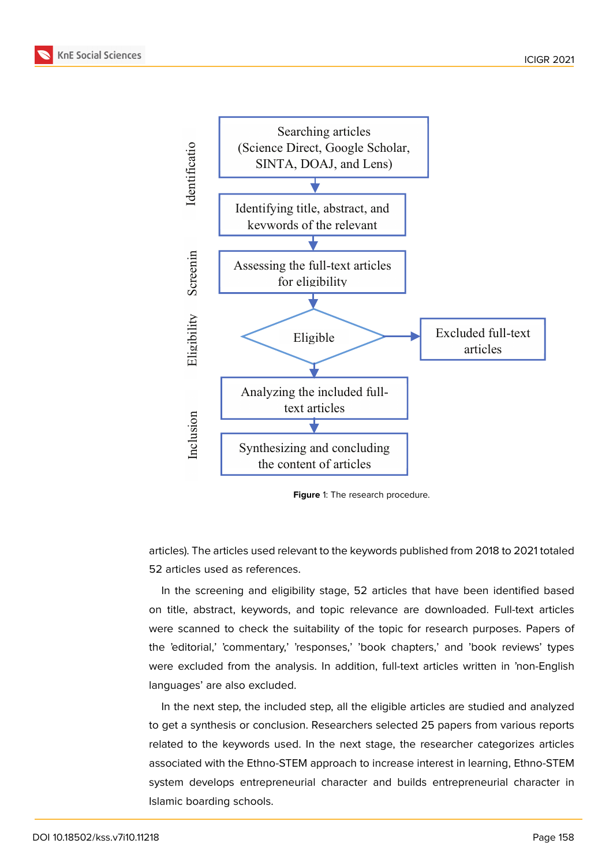



<span id="page-2-0"></span>**Figure** 1: The research procedure.

articles). The articles used relevant to the keywords published from 2018 to 2021 totaled 52 articles used as references.

In the screening and eligibility stage, 52 articles that have been identified based on title, abstract, keywords, and topic relevance are downloaded. Full-text articles were scanned to check the suitability of the topic for research purposes. Papers of the 'editorial,' 'commentary,' 'responses,' 'book chapters,' and 'book reviews' types were excluded from the analysis. In addition, full-text articles written in 'non-English languages' are also excluded.

In the next step, the included step, all the eligible articles are studied and analyzed to get a synthesis or conclusion. Researchers selected 25 papers from various reports related to the keywords used. In the next stage, the researcher categorizes articles associated with the Ethno-STEM approach to increase interest in learning, Ethno-STEM system develops entrepreneurial character and builds entrepreneurial character in Islamic boarding schools.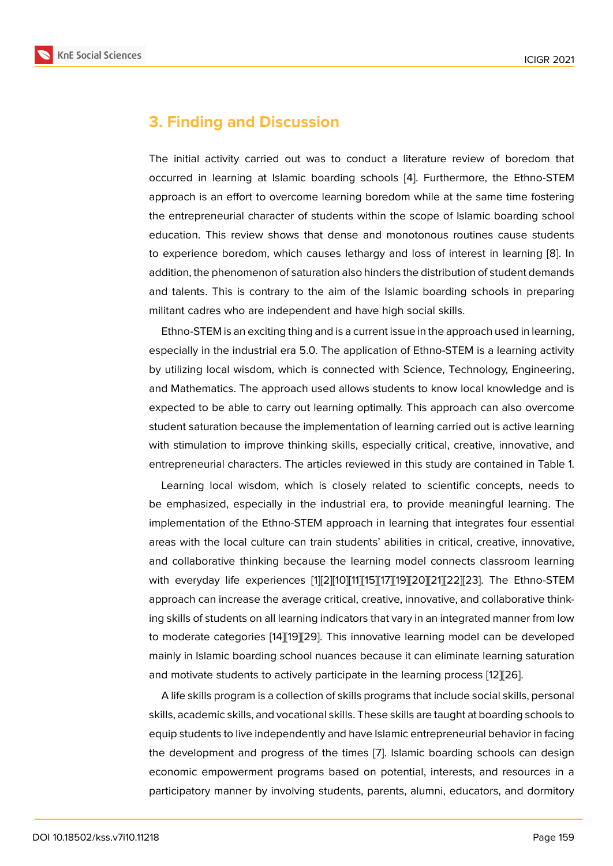### **3. Finding and Discussion**

The initial activity carried out was to conduct a literature review of boredom that occurred in learning at Islamic boarding schools [4]. Furthermore, the Ethno-STEM approach is an effort to overcome learning boredom while at the same time fostering the entrepreneurial character of students within the scope of Islamic boarding school education. This review shows that dense and mo[no](#page-7-2)tonous routines cause students to experience boredom, which causes lethargy and loss of interest in learning [8]. In addition, the phenomenon of saturation also hinders the distribution of student demands and talents. This is contrary to the aim of the Islamic boarding schools in preparing militant cadres who are independent and have high social skills.

Ethno-STEM is an exciting thing and is a current issue in the approach used in learning, especially in the industrial era 5.0. The application of Ethno-STEM is a learning activity by utilizing local wisdom, which is connected with Science, Technology, Engineering, and Mathematics. The approach used allows students to know local knowledge and is expected to be able to carry out learning optimally. This approach can also overcome student saturation because the implementation of learning carried out is active learning with stimulation to improve thinking skills, especially critical, creative, innovative, and entrepreneurial characters. The articles reviewed in this study are contained in Table 1.

Learning local wisdom, which is closely related to scientific concepts, needs to be emphasized, especially in the industrial era, to provide meaningful learning. The implementation of the Ethno-STEM approach in learning that integrates four essential areas with the local culture can train students' abilities in critical, creative, innovative, and collaborative thinking because the learning model connects classroom learning with everyday life experiences [1][2][10][11][15][17][19][20][21][22][23]. The Ethno-STEM approach can increase the average critical, creative, innovative, and collaborative thinking skills of students on all learning indicators that vary in an integrated manner from low to moderate categories [14][19][2[9\]](#page-7-0). [T](#page-7-1)[his](#page-7-8) [in](#page-8-0)[nov](#page-8-4)[ativ](#page-8-7)[e l](#page-8-8)[earn](#page-8-9)[ing](#page-8-10) [mo](#page-9-0)[del](#page-9-1) can be developed mainly in Islamic boarding school nuances because it can eliminate learning saturation and motivate students to actively participate in the learning process [12][26].

A life skills program is [a co](#page-8-3)[lle](#page-8-8)[ctio](#page-9-2)n of skills programs that include social skills, personal skills, academic skills, and vocational skills. These skills are taught at boarding schools to equip students to live independently and have Islamic entrepreneurial [be](#page-8-1)[hav](#page-9-3)ior in facing the development and progress of the times [7]. Islamic boarding schools can design economic empowerment programs based on potential, interests, and resources in a participatory manner by involving students, parents, alumni, educators, and dormitory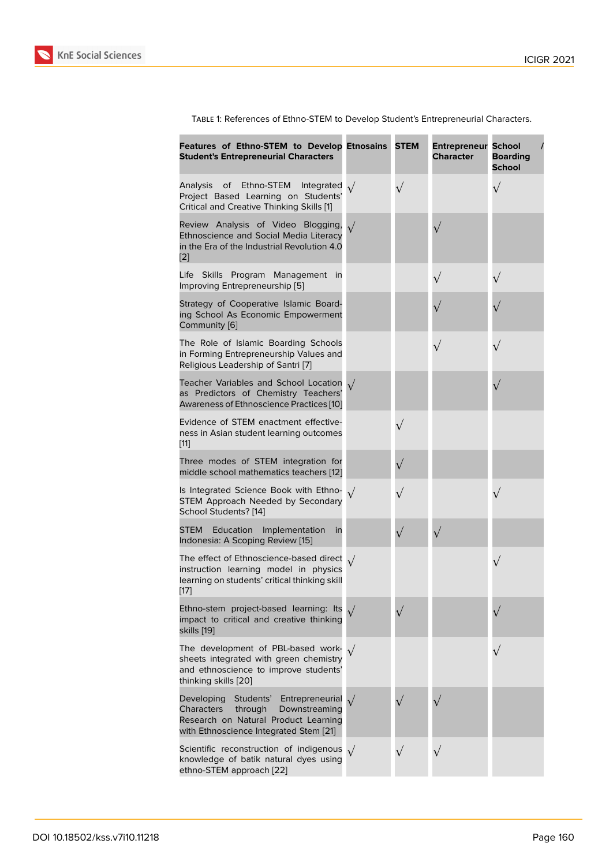| Features of Ethno-STEM to Develop Etnosains<br><b>Student's Entrepreneurial Characters</b>                                                                       | <b>STEM</b> | <b>Entrepreneur</b><br><b>Character</b> | <b>School</b><br><b>Boarding</b><br><b>School</b> |
|------------------------------------------------------------------------------------------------------------------------------------------------------------------|-------------|-----------------------------------------|---------------------------------------------------|
| Analysis of<br>Ethno-STEM<br>Integrated<br>Project Based Learning on Students'<br>Critical and Creative Thinking Skills [1]                                      | $\sqrt{}$   |                                         |                                                   |
| Review Analysis of Video Blogging,<br>Ethnoscience and Social Media Literacy<br>in the Era of the Industrial Revolution 4.0<br>$[2]$                             |             |                                         |                                                   |
| Life Skills Program Management in<br>Improving Entrepreneurship [5]                                                                                              |             |                                         |                                                   |
| Strategy of Cooperative Islamic Board-<br>ing School As Economic Empowerment<br>Community [6]                                                                    |             |                                         |                                                   |
| The Role of Islamic Boarding Schools<br>in Forming Entrepreneurship Values and<br>Religious Leadership of Santri [7]                                             |             | $\sqrt{}$                               |                                                   |
| Teacher Variables and School Location<br>as Predictors of Chemistry Teachers'<br>Awareness of Ethnoscience Practices [10]                                        |             |                                         |                                                   |
| Evidence of STEM enactment effective-<br>ness in Asian student learning outcomes<br>$[11]$                                                                       |             |                                         |                                                   |
| Three modes of STEM integration for<br>middle school mathematics teachers [12]                                                                                   | $\sqrt{}$   |                                         |                                                   |
| Is Integrated Science Book with Ethno-<br>STEM Approach Needed by Secondary<br>School Students? [14]                                                             |             |                                         |                                                   |
| STEM<br>Education<br>Implementation<br>in<br>Indonesia: A Scoping Review [15]                                                                                    | $\sqrt{}$   |                                         |                                                   |
| The effect of Ethnoscience-based direct $\sqrt{}$<br>instruction learning model in physics<br>learning on students' critical thinking skill<br>$[17]$            |             |                                         |                                                   |
| Ethno-stem project-based learning: Its<br>impact to critical and creative thinking<br>skills [19]                                                                |             |                                         |                                                   |
| The development of PBL-based work- $\sqrt{}$<br>sheets integrated with green chemistry<br>and ethnoscience to improve students'<br>thinking skills [20]          |             |                                         |                                                   |
| Developing Students' Entrepreneurial<br>Characters<br>through<br>Downstreaming<br>Research on Natural Product Learning<br>with Ethnoscience Integrated Stem [21] |             |                                         |                                                   |
| Scientific reconstruction of indigenous $\sqrt{}$<br>knowledge of batik natural dyes using<br>ethno-STEM approach [22]                                           | $\sqrt{}$   |                                         |                                                   |

Table 1: References of Ethno-STEM to Develop Student's Entrepreneurial Characters.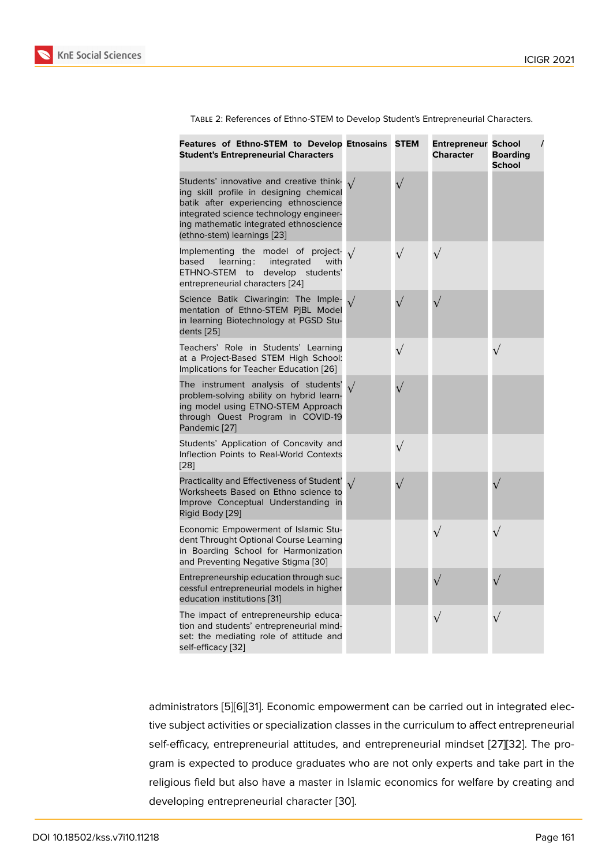| TABLE 2: References of Ethno-STEM to Develop Student's Entrepreneurial Characters. |  |  |
|------------------------------------------------------------------------------------|--|--|
|                                                                                    |  |  |

| Features of Ethno-STEM to Develop Etnosains<br><b>Student's Entrepreneurial Characters</b>                                                                                                                                                       |            | <b>STEM</b> | <b>Entrepreneur School</b><br><b>Character</b> | <b>Boarding</b><br><b>School</b> |
|--------------------------------------------------------------------------------------------------------------------------------------------------------------------------------------------------------------------------------------------------|------------|-------------|------------------------------------------------|----------------------------------|
| Students' innovative and creative think-<br>ing skill profile in designing chemical<br>batik after experiencing ethnoscience<br>integrated science technology engineer-<br>ing mathematic integrated ethnoscience<br>(ethno-stem) learnings [23] |            |             |                                                |                                  |
| Implementing the<br>model of project-<br>integrated<br>with<br>based<br>learning:<br>ETHNO-STEM<br>develop<br>to<br>students'<br>entrepreneurial characters [24]                                                                                 | $\sqrt{ }$ | $\sqrt{}$   |                                                |                                  |
| Science Batik Ciwaringin: The Imple-<br>mentation of Ethno-STEM PjBL Model<br>in learning Biotechnology at PGSD Stu-<br>dents [25]                                                                                                               |            | $\sqrt{}$   |                                                |                                  |
| Teachers' Role in Students' Learning<br>at a Project-Based STEM High School:<br>Implications for Teacher Education [26]                                                                                                                          |            |             |                                                | $\sqrt{}$                        |
| The instrument analysis of students'<br>problem-solving ability on hybrid learn-<br>ing model using ETNO-STEM Approach<br>through Quest Program in COVID-19<br>Pandemic [27]                                                                     | $\sqrt{ }$ |             |                                                |                                  |
| Students' Application of Concavity and<br>Inflection Points to Real-World Contexts<br>[28]                                                                                                                                                       |            | $\sqrt{}$   |                                                |                                  |
| Practicality and Effectiveness of Student'<br>Worksheets Based on Ethno science to<br>Improve Conceptual Understanding in<br>Rigid Body [29]                                                                                                     |            |             |                                                |                                  |
| Economic Empowerment of Islamic Stu-<br>dent Throught Optional Course Learning<br>in Boarding School for Harmonization<br>and Preventing Negative Stigma [30]                                                                                    |            |             |                                                |                                  |
| Entrepreneurship education through suc-<br>cessful entrepreneurial models in higher<br>education institutions [31]                                                                                                                               |            |             |                                                |                                  |
| The impact of entrepreneurship educa-<br>tion and students' entrepreneurial mind-<br>set: the mediating role of attitude and<br>self-efficacy [32]                                                                                               |            |             |                                                |                                  |

administrators [5[\]\[6](#page-10-0)][31]. Economic empowerment can be carried out in integrated elective subject activities or specialization classes in the curriculum to affect entrepreneurial self-efficacy, entrepreneurial attitudes, and entrepreneurial mindset [27][32]. The program is expect[ed](#page-7-3) [to](#page-7-4) [pr](#page-10-1)oduce graduates who are not only experts and take part in the religious field but also have a master in Islamic economics for welfare by creating and developing entrepreneurial character [30].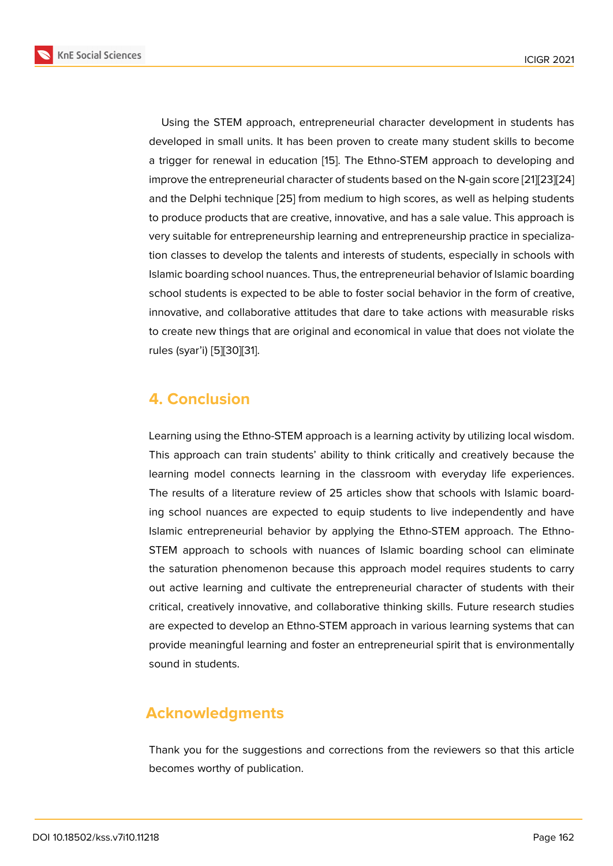Using the STEM approach, entrepreneurial character development in students has developed in small units. It has been proven to create many student skills to become a trigger for renewal in education [15]. The Ethno-STEM approach to developing and improve the entrepreneurial character of students based on the N-gain score [21][23][24] and the Delphi technique [25] from medium to high scores, as well as helping students to produce products that are creativ[e, i](#page-8-4)nnovative, and has a sale value. This approach is very suitable for entrepreneurship learning and entrepreneurship practice in [spe](#page-8-10)[cia](#page-9-1)l[iza](#page-9-8)tion classes to develop th[e ta](#page-9-4)lents and interests of students, especially in schools with Islamic boarding school nuances. Thus, the entrepreneurial behavior of Islamic boarding school students is expected to be able to foster social behavior in the form of creative, innovative, and collaborative attitudes that dare to take actions with measurable risks to create new things that are original and economical in value that does not violate the rules (syar'i) [5][30][31].

# **4. Concl[u](#page-7-3)[sio](#page-9-7)[n](#page-10-1)**

Learning using the Ethno-STEM approach is a learning activity by utilizing local wisdom. This approach can train students' ability to think critically and creatively because the learning model connects learning in the classroom with everyday life experiences. The results of a literature review of 25 articles show that schools with Islamic boarding school nuances are expected to equip students to live independently and have Islamic entrepreneurial behavior by applying the Ethno-STEM approach. The Ethno-STEM approach to schools with nuances of Islamic boarding school can eliminate the saturation phenomenon because this approach model requires students to carry out active learning and cultivate the entrepreneurial character of students with their critical, creatively innovative, and collaborative thinking skills. Future research studies are expected to develop an Ethno-STEM approach in various learning systems that can provide meaningful learning and foster an entrepreneurial spirit that is environmentally sound in students.

# **Acknowledgments**

Thank you for the suggestions and corrections from the reviewers so that this article becomes worthy of publication.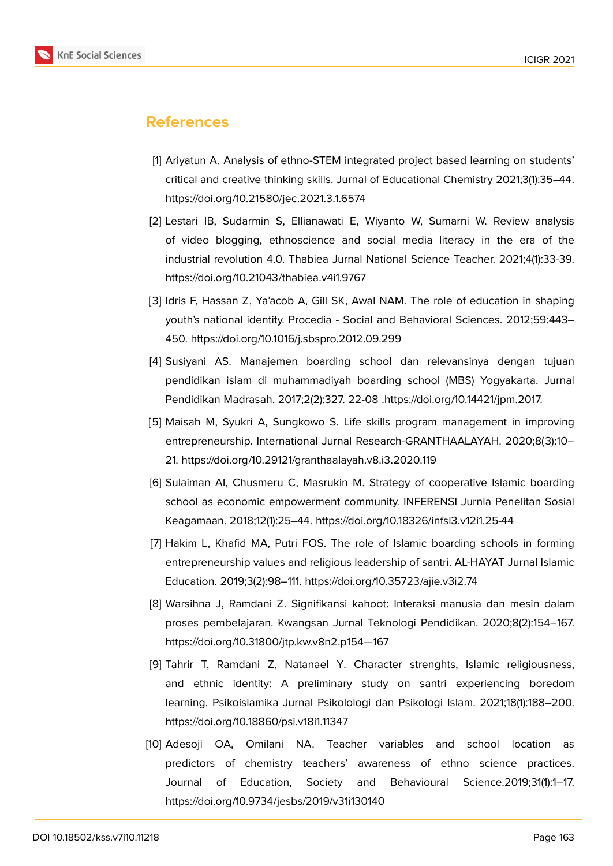

### **References**

- <span id="page-7-0"></span>[1] Ariyatun A. Analysis of ethno-STEM integrated project based learning on students' critical and creative thinking skills. Jurnal of Educational Chemistry 2021;3(1):35–44. https://doi.org/10.21580/jec.2021.3.1.6574
- <span id="page-7-1"></span>[2] Lestari IB, Sudarmin S, Ellianawati E, Wiyanto W, Sumarni W. Review analysis of video blogging, ethnoscience and social media literacy in the era of the industrial revolution 4.0. Thabiea Jurnal National Science Teacher. 2021;4(1):33-39. https://doi.org/10.21043/thabiea.v4i1.9767
- [3] Idris F, Hassan Z, Ya'acob A, Gill SK, Awal NAM. The role of education in shaping youth's national identity. Procedia - Social and Behavioral Sciences. 2012;59:443– 450. https://doi.org/10.1016/j.sbspro.2012.09.299
- <span id="page-7-2"></span>[4] Susiyani AS. Manajemen boarding school dan relevansinya dengan tujuan pendidikan islam di muhammadiyah boarding school (MBS) Yogyakarta. Jurnal Pendidikan Madrasah. 2017;2(2):327. 22-08 .https://doi.org/10.14421/jpm.2017.
- <span id="page-7-3"></span>[5] Maisah M, Syukri A, Sungkowo S. Life skills program management in improving entrepreneurship. International Jurnal Research-GRANTHAALAYAH. 2020;8(3):10– 21. https://doi.org/10.29121/granthaalayah.v8.i3.2020.119
- <span id="page-7-4"></span>[6] Sulaiman AI, Chusmeru C, Masrukin M. Strategy of cooperative Islamic boarding school as economic empowerment community. INFERENSI Jurnla Penelitan Sosial Keagamaan. 2018;12(1):25–44. https://doi.org/10.18326/infsl3.v12i1.25-44
- <span id="page-7-5"></span>[7] Hakim L, Khafid MA, Putri FOS. The role of Islamic boarding schools in forming entrepreneurship values and religious leadership of santri. AL-HAYAT Jurnal Islamic Education. 2019;3(2):98–111. https://doi.org/10.35723/ajie.v3i2.74
- <span id="page-7-6"></span>[8] Warsihna J, Ramdani Z. Signifikansi kahoot: Interaksi manusia dan mesin dalam proses pembelajaran. Kwangsan Jurnal Teknologi Pendidikan. 2020;8(2):154–167. https://doi.org/10.31800/jtp.kw.v8n2.p154—167
- <span id="page-7-7"></span>[9] Tahrir T, Ramdani Z, Natanael Y. Character strenghts, Islamic religiousness, and ethnic identity: A preliminary study on santri experiencing boredom learning. Psikoislamika Jurnal Psikolologi dan Psikologi Islam. 2021;18(1):188–200. https://doi.org/10.18860/psi.v18i1.11347
- <span id="page-7-8"></span>[10] Adesoji OA, Omilani NA. Teacher variables and school location as predictors of chemistry teachers' awareness of ethno science practices. Journal of Education, Society and Behavioural Science.2019;31(1):1–17. https://doi.org/10.9734/jesbs/2019/v31i130140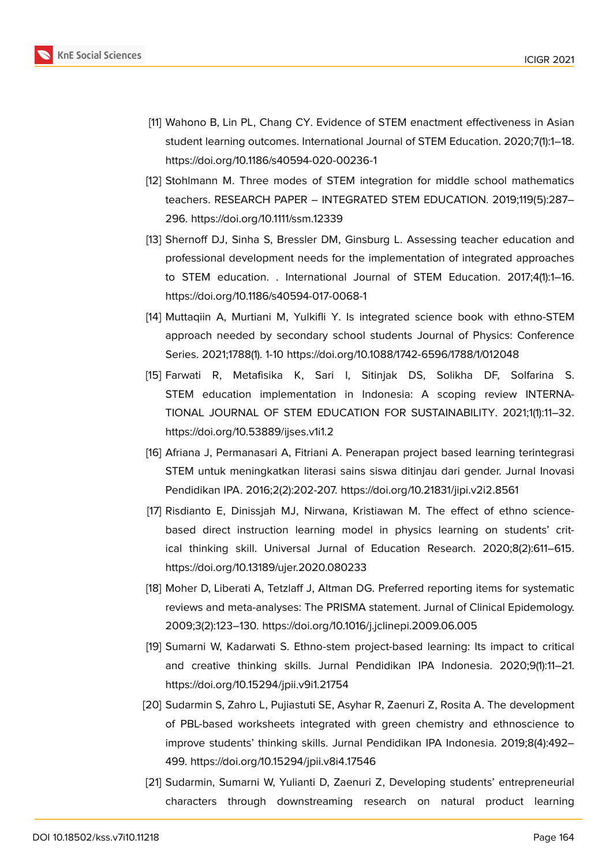

- <span id="page-8-0"></span>[11] Wahono B, Lin PL, Chang CY. Evidence of STEM enactment effectiveness in Asian student learning outcomes. International Journal of STEM Education. 2020;7(1):1–18. https://doi.org/10.1186/s40594-020-00236-1
- <span id="page-8-1"></span>[12] Stohlmann M. Three modes of STEM integration for middle school mathematics teachers. RESEARCH PAPER – INTEGRATED STEM EDUCATION. 2019;119(5):287– 296. https://doi.org/10.1111/ssm.12339
- <span id="page-8-2"></span>[13] Shernoff DJ, Sinha S, Bressler DM, Ginsburg L. Assessing teacher education and professional development needs for the implementation of integrated approaches to STEM education. . International Journal of STEM Education. 2017;4(1):1–16. https://doi.org/10.1186/s40594-017-0068-1
- <span id="page-8-3"></span>[14] Muttaqiin A, Murtiani M, Yulkifli Y. Is integrated science book with ethno-STEM approach needed by secondary school students Journal of Physics: Conference Series. 2021;1788(1). 1-10 https://doi.org/10.1088/1742-6596/1788/1/012048
- <span id="page-8-4"></span>[15] Farwati R, Metafisika K, Sari I, Sitinjak DS, Solikha DF, Solfarina S. STEM education implementation in Indonesia: A scoping review INTERNA-TIONAL JOURNAL OF STEM EDUCATION FOR SUSTAINABILITY. 2021;1(1):11–32. https://doi.org/10.53889/ijses.v1i1.2
- <span id="page-8-5"></span>[16] Afriana J, Permanasari A, Fitriani A. Penerapan project based learning terintegrasi STEM untuk meningkatkan literasi sains siswa ditinjau dari gender. Jurnal Inovasi Pendidikan IPA. 2016;2(2):202-207. https://doi.org/10.21831/jipi.v2i2.8561
- <span id="page-8-7"></span>[17] Risdianto E, Dinissjah MJ, Nirwana, Kristiawan M. The effect of ethno sciencebased direct instruction learning model in physics learning on students' critical thinking skill. Universal Jurnal of Education Research. 2020;8(2):611–615. https://doi.org/10.13189/ujer.2020.080233
- <span id="page-8-6"></span>[18] Moher D, Liberati A, Tetzlaff J, Altman DG. Preferred reporting items for systematic reviews and meta-analyses: The PRISMA statement. Jurnal of Clinical Epidemology. 2009;3(2):123–130. https://doi.org/10.1016/j.jclinepi.2009.06.005
- <span id="page-8-8"></span>[19] Sumarni W, Kadarwati S. Ethno-stem project-based learning: Its impact to critical and creative thinking skills. Jurnal Pendidikan IPA Indonesia. 2020;9(1):11–21. https://doi.org/10.15294/jpii.v9i1.21754
- <span id="page-8-9"></span>[20] Sudarmin S, Zahro L, Pujiastuti SE, Asyhar R, Zaenuri Z, Rosita A. The development of PBL-based worksheets integrated with green chemistry and ethnoscience to improve students' thinking skills. Jurnal Pendidikan IPA Indonesia. 2019;8(4):492– 499. https://doi.org/10.15294/jpii.v8i4.17546
- <span id="page-8-10"></span>[21] Sudarmin, Sumarni W, Yulianti D, Zaenuri Z, Developing students' entrepreneurial characters through downstreaming research on natural product learning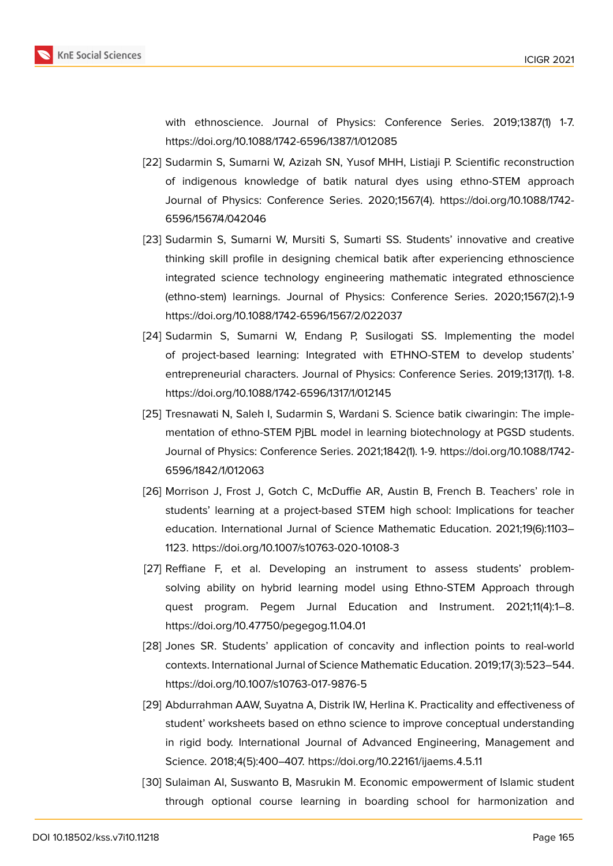

with ethnoscience. Journal of Physics: Conference Series. 2019;1387(1) 1-7. https://doi.org/10.1088/1742-6596/1387/1/012085

- <span id="page-9-0"></span>[22] Sudarmin S, Sumarni W, Azizah SN, Yusof MHH, Listiaji P. Scientific reconstruction of indigenous knowledge of batik natural dyes using ethno-STEM approach Journal of Physics: Conference Series. 2020;1567(4). https://doi.org/10.1088/1742- 6596/1567/4/042046
- <span id="page-9-1"></span>[23] Sudarmin S, Sumarni W, Mursiti S, Sumarti SS. Students' innovative and creative thinking skill profile in designing chemical batik after experiencing ethnoscience integrated science technology engineering mathematic integrated ethnoscience (ethno-stem) learnings. Journal of Physics: Conference Series. 2020;1567(2).1-9 https://doi.org/10.1088/1742-6596/1567/2/022037
- <span id="page-9-8"></span>[24] Sudarmin S, Sumarni W, Endang P, Susilogati SS. Implementing the model of project-based learning: Integrated with ETHNO-STEM to develop students' entrepreneurial characters. Journal of Physics: Conference Series. 2019;1317(1). 1-8. https://doi.org/10.1088/1742-6596/1317/1/012145
- <span id="page-9-4"></span>[25] Tresnawati N, Saleh I, Sudarmin S, Wardani S. Science batik ciwaringin: The implementation of ethno-STEM PjBL model in learning biotechnology at PGSD students. Journal of Physics: Conference Series. 2021;1842(1). 1-9. https://doi.org/10.1088/1742- 6596/1842/1/012063
- <span id="page-9-3"></span>[26] Morrison J, Frost J, Gotch C, McDuffie AR, Austin B, French B. Teachers' role in students' learning at a project-based STEM high school: Implications for teacher education. International Jurnal of Science Mathematic Education. 2021;19(6):1103– 1123. https://doi.org/10.1007/s10763-020-10108-3
- <span id="page-9-5"></span>[27] Reffiane F, et al. Developing an instrument to assess students' problemsolving ability on hybrid learning model using Ethno-STEM Approach through quest program. Pegem Jurnal Education and Instrument. 2021;11(4):1–8. https://doi.org/10.47750/pegegog.11.04.01
- <span id="page-9-6"></span>[28] Jones SR. Students' application of concavity and inflection points to real-world contexts. International Jurnal of Science Mathematic Education. 2019;17(3):523–544. https://doi.org/10.1007/s10763-017-9876-5
- <span id="page-9-2"></span>[29] Abdurrahman AAW, Suyatna A, Distrik IW, Herlina K. Practicality and effectiveness of student' worksheets based on ethno science to improve conceptual understanding in rigid body. International Journal of Advanced Engineering, Management and Science. 2018;4(5):400–407. https://doi.org/10.22161/ijaems.4.5.11
- <span id="page-9-7"></span>[30] Sulaiman AI, Suswanto B, Masrukin M. Economic empowerment of Islamic student through optional course learning in boarding school for harmonization and